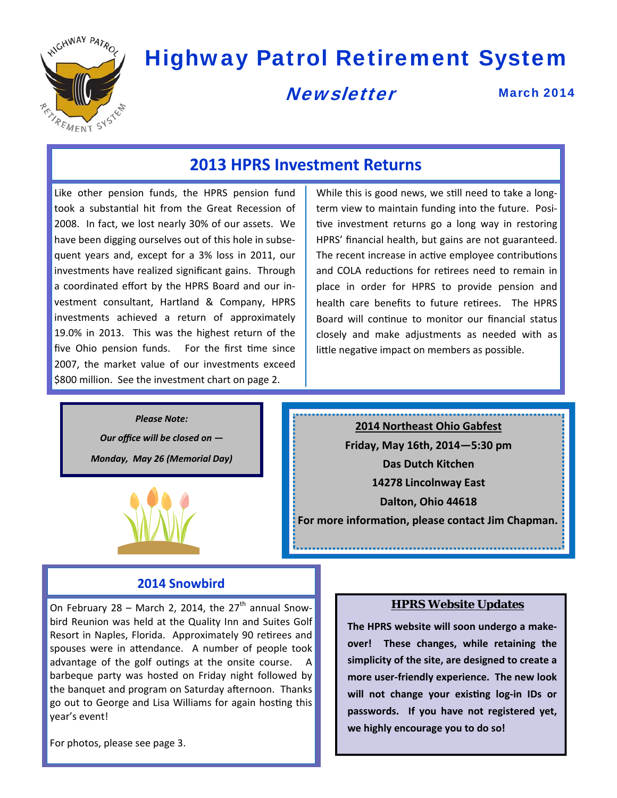

# Highway Patrol Retirement System

**Newsletter** 

March 2014

## **2013 HPRS Investment Returns**

Like other pension funds, the HPRS pension fund took a substantial hit from the Great Recession of 2008. In fact, we lost nearly 30% of our assets. We have been digging ourselves out of this hole in subse‐ quent years and, except for a 3% loss in 2011, our investments have realized significant gains. Through a coordinated effort by the HPRS Board and our in‐ vestment consultant, Hartland & Company, HPRS investments achieved a return of approximately 19.0% in 2013. This was the highest return of the five Ohio pension funds. For the first time since 2007, the market value of our investments exceed \$800 million. See the investment chart on page 2.

While this is good news, we still need to take a longterm view to maintain funding into the future. Posi‐ tive investment returns go a long way in restoring HPRS' financial health, but gains are not guaranteed. The recent increase in active employee contributions and COLA reductions for retirees need to remain in place in order for HPRS to provide pension and health care benefits to future retirees. The HPRS Board will continue to monitor our financial status closely and make adjustments as needed with as little negative impact on members as possible.

*Please Note: Our office will be closed on — Monday, May 26 (Memorial Day)*



**2014 Northeast Ohio Gabfest Friday, May 16th, 2014—5:30 pm Das Dutch Kitchen 14278 Lincolnway East Dalton, Ohio 44618 For more informaƟon, please contact Jim Chapman.** 

### **2014 Snowbird**

On February 28 – March 2, 2014, the  $27<sup>th</sup>$  annual Snowbird Reunion was held at the Quality Inn and Suites Golf Resort in Naples, Florida. Approximately 90 retirees and spouses were in attendance. A number of people took advantage of the golf outings at the onsite course. A barbeque party was hosted on Friday night followed by the banquet and program on Saturday afternoon. Thanks go out to George and Lisa Williams for again hosting this year's event!

For photos, please see page 3.

#### **HPRS Website Updates**

**The HPRS website will soon undergo a make‐ over! These changes, while retaining the simplicity of the site, are designed to create a more user‐friendly experience. The new look will not change your exisƟng log‐in IDs or passwords. If you have not registered yet, we highly encourage you to do so!**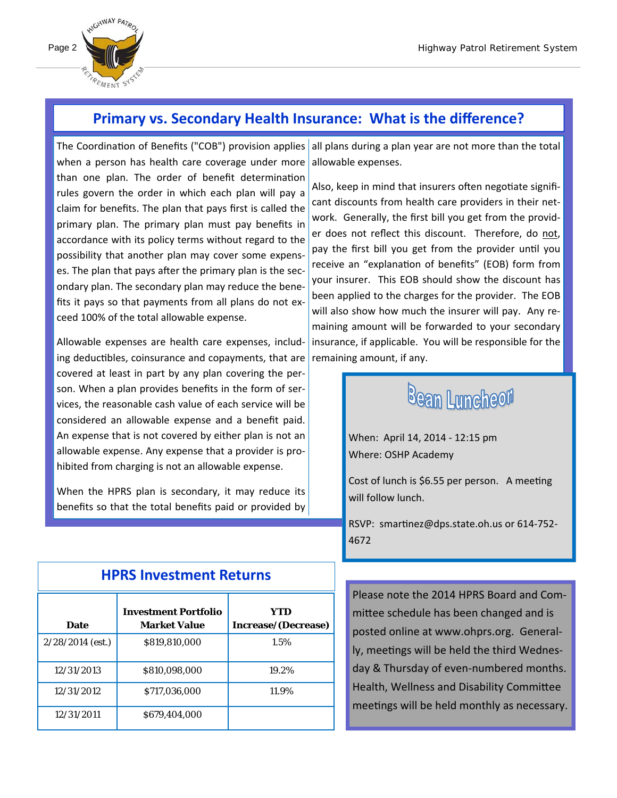

## **Primary vs. Secondary Health Insurance: What is the difference?**

The Coordination of Benefits ("COB") provision applies aall plans during a plan year are not more than the total when a person has health care coverage under more than one plan. The order of benefit determination rules govern the order in which each plan will pay a claim for benefits. The plan that pays first is called the primary plan. The primary plan must pay benefits in accordance with its policy terms without regard to the possibility that another plan may cover some expens‐ es. The plan that pays after the primary plan is the secondary plan. The secondary plan may reduce the bene‐ fits it pays so that payments from all plans do not ex‐ ceed 100% of the total allowable expense.

Allowable expenses are health care expenses, includ‐ ing deductibles, coinsurance and copayments, that are covered at least in part by any plan covering the per‐ son. When a plan provides benefits in the form of services, the reasonable cash value of each service will be considered an allowable expense and a benefit paid. An expense that is not covered by either plan is not an allowable expense. Any expense that a provider is pro‐ hibited from charging is not an allowable expense.

When the HPRS plan is secondary, it may reduce its benefits so that the total benefits paid or provided by

allowable expenses.

Also, keep in mind that insurers often negotiate significant discounts from health care providers in their net‐ work. Generally, the first bill you get from the provid‐ er does not reflect this discount. Therefore, do not, pay the first bill you get from the provider until you receive an "explanation of benefits" (EOB) form from your insurer. This EOB should show the discount has been applied to the charges for the provider. The EOB will also show how much the insurer will pay. Any remaining amount will be forwarded to your secondary insurance, if applicable. You will be responsible for the remaining amount, if any.

# **Bean Luncheon**

When: April 14, 2014 ‐ 12:15 pm Where: OSHP Academy

Cost of lunch is \$6.55 per person. A meeting will follow lunch.

RSVP: smartinez@dps.state.oh.us or 614-752-4672

Please note the 2014 HPRS Board and Com‐ mittee schedule has been changed and is posted online at www.ohprs.org. General‐ ly, meetings will be held the third Wednesday & Thursday of even‐numbered months. Health, Wellness and Disability Committee meetings will be held monthly as necessary.

| г нэ шисэмпсти нешты |                                                    |                            |  |
|----------------------|----------------------------------------------------|----------------------------|--|
| <b>Date</b>          | <b>Investment Portfolio</b><br><b>Market Value</b> | YTD<br>Increase/(Decrease) |  |
| $2/28/2014$ (est.)   | \$819,810,000                                      | 1.5%                       |  |
| 12/31/2013           | \$810.098.000                                      | 19.2%                      |  |
| 12/31/2012           | \$717,036,000                                      | 11.9%                      |  |
| 12/31/2011           | \$679.404.000                                      |                            |  |
|                      |                                                    |                            |  |

### **HPRS Investment Returns**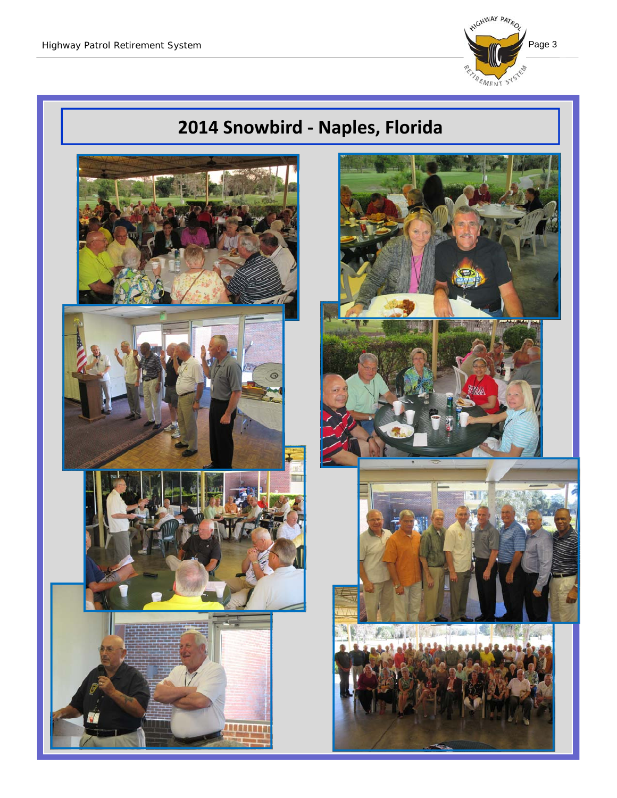

# **2014 Snowbird ‐ Naples, Florida**

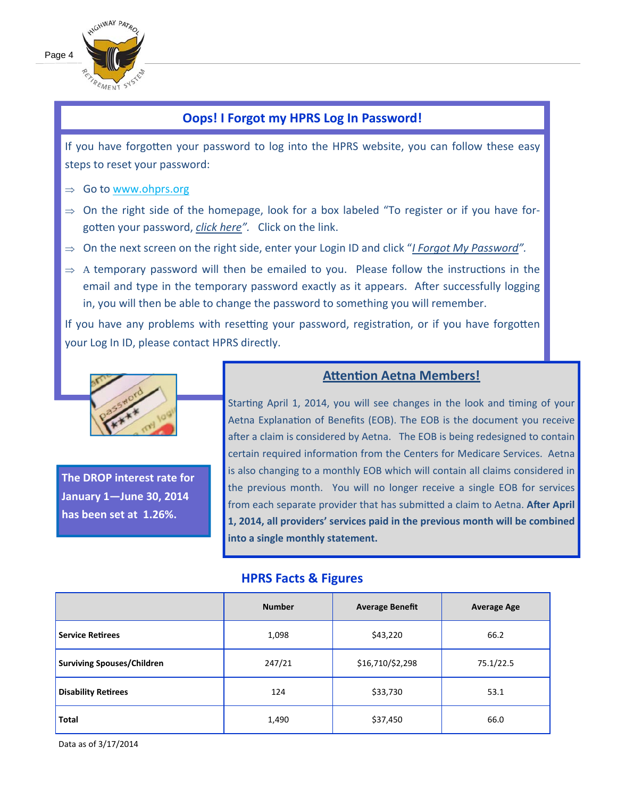

### **Oops! I Forgot my HPRS Log In Password!**

If you have forgotten your password to log into the HPRS website, you can follow these easy steps to reset your password:

- $\Rightarrow$  Go to www.ohprs.org
- $\Rightarrow$  On the right side of the homepage, look for a box labeled "To register or if you have forgotten your password, *click here"*. Click on the link.
- On the next screen on the right side, enter your Login ID and click "*I Forgot My Password".*
- $\Rightarrow$  A temporary password will then be emailed to you. Please follow the instructions in the email and type in the temporary password exactly as it appears. After successfully logging in, you will then be able to change the password to something you will remember.

If you have any problems with resetting your password, registration, or if you have forgotten your Log In ID, please contact HPRS directly.



**The DROP interest rate for January 1—June 30, 2014 has been set at 1.26%.** 

### **AƩenƟon Aetna Members!**

Starting April 1, 2014, you will see changes in the look and timing of your Aetna Explanation of Benefits (EOB). The EOB is the document you receive after a claim is considered by Aetna. The EOB is being redesigned to contain certain required information from the Centers for Medicare Services. Aetna is also changing to a monthly EOB which will contain all claims considered in the previous month. You will no longer receive a single EOB for services from each separate provider that has submitted a claim to Aetna. After April **1, 2014, all providers' services paid in the previous month will be combined into a single monthly statement.** 

#### **HPRS Facts & Figures**

|                                   | <b>Number</b> | <b>Average Benefit</b> | <b>Average Age</b> |
|-----------------------------------|---------------|------------------------|--------------------|
| <b>Service Retirees</b>           | 1,098         | \$43,220               | 66.2               |
| <b>Surviving Spouses/Children</b> | 247/21        | \$16,710/\$2,298       | 75.1/22.5          |
| <b>Disability Retirees</b>        | 124           | \$33,730               | 53.1               |
| Total                             | 1,490         | \$37,450               | 66.0               |

Data as of 3/17/2014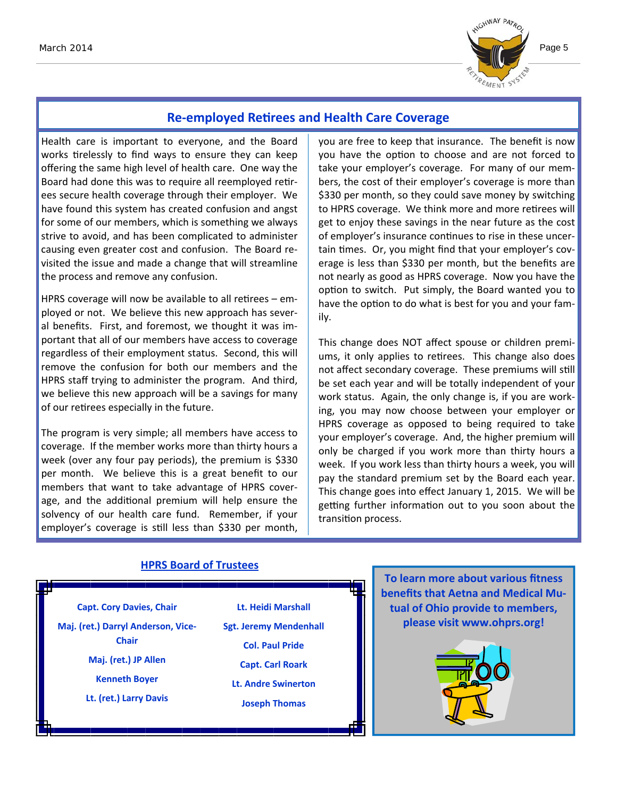

### **Re‐employed ReƟrees and Health Care Coverage**

Health care is important to everyone, and the Board works tirelessly to find ways to ensure they can keep offering the same high level of health care. One way the Board had done this was to require all reemployed retirees secure health coverage through their employer. We have found this system has created confusion and angst for some of our members, which is something we always strive to avoid, and has been complicated to administer causing even greater cost and confusion. The Board re‐ visited the issue and made a change that will streamline the process and remove any confusion.

HPRS coverage will now be available to all retirees – employed or not. We believe this new approach has sever‐ al benefits. First, and foremost, we thought it was im‐ portant that all of our members have access to coverage regardless of their employment status. Second, this will remove the confusion for both our members and the HPRS staff trying to administer the program. And third, we believe this new approach will be a savings for many of our retirees especially in the future.

The program is very simple; all members have access to coverage. If the member works more than thirty hours a week (over any four pay periods), the premium is \$330 per month. We believe this is a great benefit to our members that want to take advantage of HPRS cover‐ age, and the additional premium will help ensure the solvency of our health care fund. Remember, if your employer's coverage is still less than \$330 per month,

you are free to keep that insurance. The benefit is now you have the option to choose and are not forced to take your employer's coverage. For many of our mem‐ bers, the cost of their employer's coverage is more than \$330 per month, so they could save money by switching to HPRS coverage. We think more and more retirees will get to enjoy these savings in the near future as the cost of employer's insurance continues to rise in these uncertain times. Or, you might find that your employer's coverage is less than \$330 per month, but the benefits are not nearly as good as HPRS coverage. Now you have the option to switch. Put simply, the Board wanted you to have the option to do what is best for you and your family.

This change does NOT affect spouse or children premi‐ ums, it only applies to retirees. This change also does not affect secondary coverage. These premiums will still be set each year and will be totally independent of your work status. Again, the only change is, if you are work‐ ing, you may now choose between your employer or HPRS coverage as opposed to being required to take your employer's coverage. And, the higher premium will only be charged if you work more than thirty hours a week. If you work less than thirty hours a week, you will pay the standard premium set by the Board each year. This change goes into effect January 1, 2015. We will be getting further information out to you soon about the transition process.

#### **Capt. Cory Davies, Chair Maj. (ret.) Darryl Anderson, Vice‐ Chair Maj. (ret.) JP Allen Kenneth Boyer Lt. (ret.) Larry Davis Lt. Heidi Marshall Sgt. Jeremy Mendenhall Col. Paul Pride Capt. Carl Roark Lt. Andre Swinerton Joseph Thomas HPRS Board of Trustees**